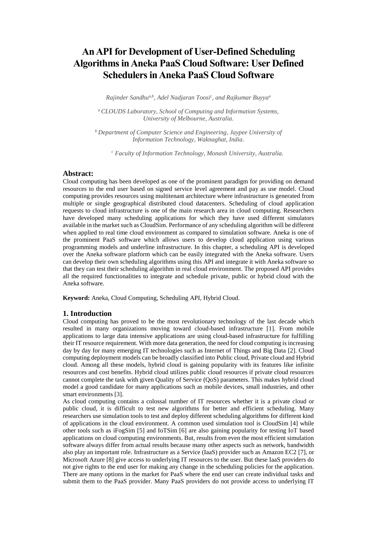# **An API for Development of User-Defined Scheduling Algorithms inAneka PaaS Cloud Software: [User Defined](https://www.igi-global.com/chapter/an-api-for-development-of-user-defined-scheduling-algorithms-in-aneka-paas-cloud-software/225416)  [Schedulers in Aneka PaaS Cloud Software](https://www.igi-global.com/chapter/an-api-for-development-of-user-defined-scheduling-algorithms-in-aneka-paas-cloud-software/225416)**

*Rajinder Sandhua,b, Adel Nadjaran Toosi<sup>c</sup> , and Rajkumar Buyya<sup>a</sup>*

*<sup>a</sup>CLOUDS Laboratory, School of Computing and Information Systems, University of Melbourne, Australia.*

*<sup>b</sup>Department of Computer Science and Engineering, Jaypee University of Information Technology, Waknaghat, India.*

*<sup>c</sup> Faculty of Information Technology, Monash University, Australia.*

## **Abstract:**

Cloud computing has been developed as one of the prominent paradigm for providing on demand resources to the end user based on signed service level agreement and pay as use model. Cloud computing provides resources using multitenant architecture where infrastructure is generated from multiple or single geographical distributed cloud datacenters. Scheduling of cloud application requests to cloud infrastructure is one of the main research area in cloud computing. Researchers have developed many scheduling applications for which they have used different simulators available in the market such as CloudSim. Performance of any scheduling algorithm will be different when applied to real time cloud environment as compared to simulation software. Aneka is one of the prominent PaaS software which allows users to develop cloud application using various programming models and underline infrastructure. In this chapter, a scheduling API is developed over the Aneka software platform which can be easily integrated with the Aneka software. Users can develop their own scheduling algorithms using this API and integrate it with Aneka software so that they can test their scheduling algorithm in real cloud environment. The proposed API provides all the required functionalities to integrate and schedule private, public or hybrid cloud with the Aneka software.

**Keyword:** Aneka, Cloud Computing, Scheduling API, Hybrid Cloud.

#### **1. Introduction**

Cloud computing has proved to be the most revolutionary technology of the last decade which resulted in many organizations moving toward cloud-based infrastructure [1]. From mobile applications to large data intensive applications are using cloud-based infrastructure for fulfilling their IT resource requirement. With more data generation, the need for cloud computing is increasing day by day for many emerging IT technologies such as Internet of Things and Big Data [2]. Cloud computing deployment models can be broadly classified into Public cloud, Private cloud and Hybrid cloud. Among all these models, hybrid cloud is gaining popularity with its features like infinite resources and cost benefits. Hybrid cloud utilizes public cloud resources if private cloud resources cannot complete the task with given Quality of Service (QoS) parameters. This makes hybrid cloud model a good candidate for many applications such as mobile devices, small industries, and other smart environments [3].

As cloud computing contains a colossal number of IT resources whether it is a private cloud or public cloud, it is difficult to test new algorithms for better and efficient scheduling. Many researchers use simulation tools to test and deploy different scheduling algorithms for different kind of applications in the cloud environment. A common used simulation tool is CloudSim [4] while other tools such as iFogSim [5] and IoTSim [6] are also gaining popularity for testing IoT based applications on cloud computing environments. But, results from even the most efficient simulation software always differ from actual results because many other aspects such as network, bandwidth also play an important role. Infrastructure as a Service (IaaS) provider such as Amazon EC2 [7], or Microsoft Azure [8] give access to underlying IT resources to the user. But these IaaS providers do not give rights to the end user for making any change in the scheduling policies for the application. There are many options in the market for PaaS where the end user can create individual tasks and submit them to the PaaS provider. Many PaaS providers do not provide access to underlying IT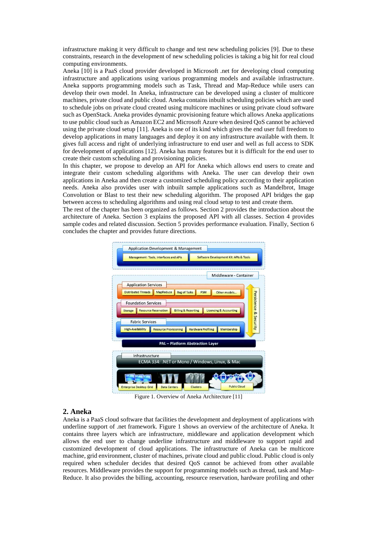infrastructure making it very difficult to change and test new scheduling policies [9]. Due to these constraints, research in the development of new scheduling policies is taking a big hit for real cloud computing environments.

Aneka [10] is a PaaS cloud provider developed in Microsoft .net for developing cloud computing infrastructure and applications using various programming models and available infrastructure. Aneka supports programming models such as Task, Thread and Map-Reduce while users can develop their own model. In Aneka, infrastructure can be developed using a cluster of multicore machines, private cloud and public cloud. Aneka contains inbuilt scheduling policies which are used to schedule jobs on private cloud created using multicore machines or using private cloud software such as OpenStack. Aneka provides dynamic provisioning feature which allows Aneka applications to use public cloud such as Amazon EC2 and Microsoft Azure when desired QoS cannot be achieved using the private cloud setup [11]. Aneka is one of its kind which gives the end user full freedom to develop applications in many languages and deploy it on any infrastructure available with them. It gives full access and right of underlying infrastructure to end user and well as full access to SDK for development of applications [12]. Aneka has many features but it is difficult for the end user to create their custom scheduling and provisioning policies.

In this chapter, we propose to develop an API for Aneka which allows end users to create and integrate their custom scheduling algorithms with Aneka. The user can develop their own applications in Aneka and then create a customized scheduling policy according to their application needs. Aneka also provides user with inbuilt sample applications such as Mandelbrot, Image Convolution or Blast to test their new scheduling algorithm. The proposed API bridges the gap between access to scheduling algorithms and using real cloud setup to test and create them.

The rest of the chapter has been organized as follows. Section 2 provides the introduction about the architecture of Aneka. Section 3 explains the proposed API with all classes. Section 4 provides sample codes and related discussion. Section 5 provides performance evaluation. Finally, Section 6 concludes the chapter and provides future directions.



Figure 1. Overview of Aneka Architecture [11]

### **2. Aneka**

Aneka is a PaaS cloud software that facilities the development and deployment of applications with underline support of .net framework. Figure 1 shows an overview of the architecture of Aneka. It contains three layers which are infrastructure, middleware and application development which allows the end user to change underline infrastructure and middleware to support rapid and customized development of cloud applications. The infrastructure of Aneka can be multicore machine, grid environment, cluster of machines, private cloud and public cloud. Public cloud is only required when scheduler decides that desired QoS cannot be achieved from other available resources. Middleware provides the support for programming models such as thread, task and Map-Reduce. It also provides the billing, accounting, resource reservation, hardware profiling and other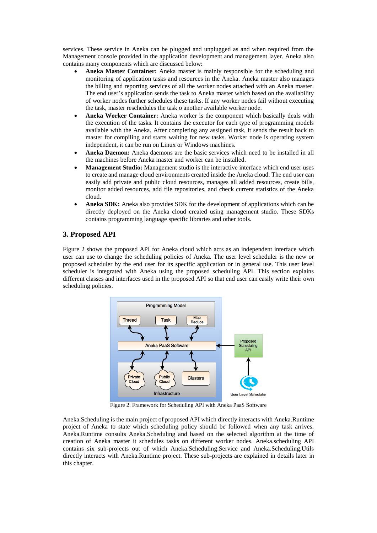services. These service in Aneka can be plugged and unplugged as and when required from the Management console provided in the application development and management layer. Aneka also contains many components which are discussed below:

- **Aneka Master Container:** Aneka master is mainly responsible for the scheduling and monitoring of application tasks and resources in the Aneka. Aneka master also manages the billing and reporting services of all the worker nodes attached with an Aneka master. The end user's application sends the task to Aneka master which based on the availability of worker nodes further schedules these tasks. If any worker nodes fail without executing the task, master reschedules the task o another available worker node.
- **Aneka Worker Container:** Aneka worker is the component which basically deals with the execution of the tasks. It contains the executor for each type of programming models available with the Aneka. After completing any assigned task, it sends the result back to master for compiling and starts waiting for new tasks. Worker node is operating system independent, it can be run on Linux or Windows machines.
- **Aneka Daemon:** Aneka daemons are the basic services which need to be installed in all the machines before Aneka master and worker can be installed.
- **Management Studio:** Management studio is the interactive interface which end user uses to create and manage cloud environments created inside the Aneka cloud. The end user can easily add private and public cloud resources, manages all added resources, create bills, monitor added resources, add file repositories, and check current statistics of the Aneka cloud.
- **Aneka SDK:** Aneka also provides SDK for the development of applications which can be directly deployed on the Aneka cloud created using management studio. These SDKs contains programming language specific libraries and other tools.

# **3. Proposed API**

Figure 2 shows the proposed API for Aneka cloud which acts as an independent interface which user can use to change the scheduling policies of Aneka. The user level scheduler is the new or proposed scheduler by the end user for its specific application or in general use. This user level scheduler is integrated with Aneka using the proposed scheduling API. This section explains different classes and interfaces used in the proposed API so that end user can easily write their own scheduling policies.



Figure 2. Framework for Scheduling API with Aneka PaaS Software

Aneka.Scheduling is the main project of proposed API which directly interacts with Aneka.Runtime project of Aneka to state which scheduling policy should be followed when any task arrives. Aneka.Runtime consults Aneka.Scheduling and based on the selected algorithm at the time of creation of Aneka master it schedules tasks on different worker nodes. Aneka.scheduling API contains six sub-projects out of which Aneka.Scheduling.Service and Aneka.Scheduling.Utils directly interacts with Aneka.Runtime project. These sub-projects are explained in details later in this chapter.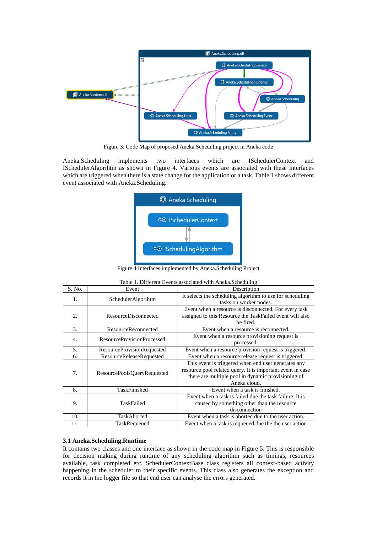

Figure 3: Code Map of proposed Aneka.Scheduling project in Aneka code

Aneka.Scheduling implements two interfaces which are ISchedulerContext and ISchedulerAlgorihtm as shown in Figure 4. Various events are associated with these interfaces which are triggered when there is a state change for the application or a task. Table 1 shows different event associated with Aneka.Scheduling.



Figure 4 Interfaces implemented by Aneka.Scheduling Project

| S. No. | Event                       | Description                                                                                                                                                                             |  |  |
|--------|-----------------------------|-----------------------------------------------------------------------------------------------------------------------------------------------------------------------------------------|--|--|
| 1.     | SchedulerAlgorihtm          | It selects the scheduling algorithm to use for scheduling<br>tasks on worker nodes.                                                                                                     |  |  |
| 2.     | <b>ResourceDisconnected</b> | Event when a resource is disconnected. For every task<br>assigned to this Resource the TaskFailed event will also<br>be fired.                                                          |  |  |
| 3.     | <b>ResourceReconnected</b>  | Event when a resource is reconnected.                                                                                                                                                   |  |  |
| 4.     | ResourceProvisionProcessed  | Event when a resource provisioning request is<br>processed.                                                                                                                             |  |  |
| 5.     | ResourceProvisionRequested  | Event when a resource provision request is triggered.                                                                                                                                   |  |  |
| 6.     | ResourceReleaseRequested    | Event when a resource release request is triggered.                                                                                                                                     |  |  |
| 7.     | ResourcePoolsQueryRequested | This event is triggered when end user generates any<br>resource pool related query. It is important event in case<br>there are multiple pool in dynamic provisioning of<br>Aneka cloud. |  |  |
| 8.     | TaskFinished                | Event when a task is finished.                                                                                                                                                          |  |  |
| 9.     | TaskFailed                  | Event when a task is failed due the task failure. It is<br>caused by something other than the resource<br>disconnection                                                                 |  |  |
| 10.    | TaskAborted                 | Event when a task is aborted due to the user action.                                                                                                                                    |  |  |
| 11.    | TaskRequeued                | Event when a task is requeued due the the user action                                                                                                                                   |  |  |

| Table 1. Different Events associated with Aneka.Scheduling |  |  |
|------------------------------------------------------------|--|--|
|                                                            |  |  |

#### **3.1 Aneka.Scheduling.Runtime**

It contains two classes and one interface as shown in the code map in Figure 5. This is responsible for decision making during runtime of any scheduling algorithm such as timings, resources available, task completed etc. SchedulerContextBase class registers all context-based activity happening in the scheduler to their specific events. This class also generates the exception and records it in the logger file so that end user can analyse the errors generated.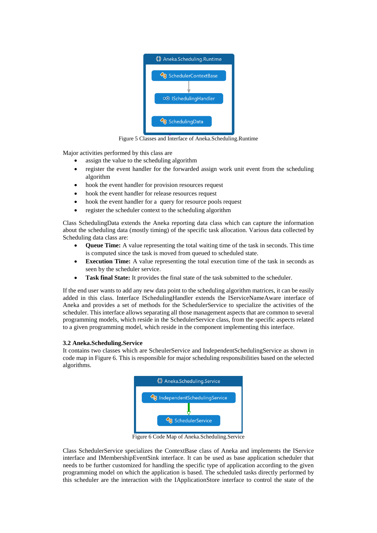

Figure 5 Classes and Interface of Aneka.Scheduling.Runtime

Major activities performed by this class are

- assign the value to the scheduling algorithm
- register the event handler for the forwarded assign work unit event from the scheduling algorithm
- hook the event handler for provision resources request
- hook the event handler for release resources request
- hook the event handler for a query for resource pools request
- register the scheduler context to the scheduling algorithm

Class SchedulingData extends the Aneka reporting data class which can capture the information about the scheduling data (mostly timing) of the specific task allocation. Various data collected by Scheduling data class are:

- **Queue Time:** A value representing the total waiting time of the task in seconds. This time is computed since the task is moved from queued to scheduled state.
- **Execution Time:** A value representing the total execution time of the task in seconds as seen by the scheduler service.
- **Task final State:** It provides the final state of the task submitted to the scheduler.

If the end user wants to add any new data point to the scheduling algorithm matrices, it can be easily added in this class. Interface ISchedulingHandler extends the IServiceNameAware interface of Aneka and provides a set of methods for the SchedulerService to specialize the activities of the scheduler. This interface allows separating all those management aspects that are common to several programming models, which reside in the SchedulerService class, from the specific aspects related to a given programming model, which reside in the component implementing this interface.

### **3.2 Aneka.Scheduling.Service**

It contains two classes which are ScheulerService and IndependentSchedulingService as shown in code map in Figure 6. This is responsible for major scheduling responsibilities based on the selected algorithms.



Figure 6 Code Map of Aneka.Scheduling.Service

Class SchedulerService specializes the ContextBase class of Aneka and implements the IService interface and IMembershipEventSink interface. It can be used as base application scheduler that needs to be further customized for handling the specific type of application according to the given programming model on which the application is based. The scheduled tasks directly performed by this scheduler are the interaction with the IApplicationStore interface to control the state of the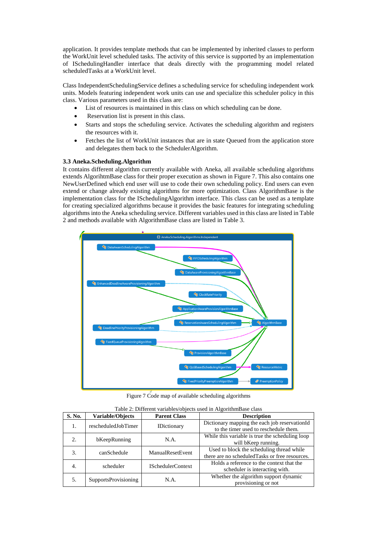application. It provides template methods that can be implemented by inherited classes to perform the WorkUnit level scheduled tasks. The activity of this service is supported by an implementation of ISchedulingHandler interface that deals directly with the programming model related scheduledTasks at a WorkUnit level.

Class IndependentSchedulingService defines a scheduling service for scheduling independent work units. Models featuring independent work units can use and specialize this scheduler policy in this class. Various parameters used in this class are:

- List of resources is maintained in this class on which scheduling can be done.
- Reservation list is present in this class.
- Starts and stops the scheduling service. Activates the scheduling algorithm and registers the resources with it.
- Fetches the list of WorkUnit instances that are in state Queued from the application store and delegates them back to the SchedulerAlgorithm.

# **3.3 Aneka.Scheduling.Algorithm**

It contains different algorithm currently available with Aneka, all available scheduling algorithms extends AlgorihtmBase class for their proper execution as shown in Figure 7. This also contains one NewUserDefined which end user will use to code their own scheduling policy. End users can even extend or change already existing algorithms for more optimization. Class AlgorithmBase is the implementation class for the ISchedulingAlgorithm interface. This class can be used as a template for creating specialized algorithms because it provides the basic features for integrating scheduling algorithms into the Aneka scheduling service. Different variables used in this class are listed in Table 2 and methods available with AlgorithmBase class are listed in Table 3.



Figure 7 Code map of available scheduling algorithms

| <b>S. No.</b> | <b>Variable/Objects</b>                   | <b>Parent Class</b>      | <b>Description</b>                                                                           |  |
|---------------|-------------------------------------------|--------------------------|----------------------------------------------------------------------------------------------|--|
| 1.            | rescheduledJobTimer<br><b>IDictionary</b> |                          | Dictionary mapping the each job reservationId<br>to the timer used to reschedule them.       |  |
| 2.            | bKeepRunning                              | N.A.                     | While this variable is true the scheduling loop<br>will bKeep running.                       |  |
| 3.            | canSchedule                               | ManualResetEvent         | Used to block the scheduling thread while<br>there are no scheduled Tasks or free resources. |  |
| 4.            | scheduler                                 | <b>ISchedulerContext</b> | Holds a reference to the context that the<br>scheduler is interacting with.                  |  |
| 5.            | <b>SupportsProvisioning</b>               | N.A.                     | Whether the algorithm support dynamic<br>provisioning or not                                 |  |

Table 2: Different variables/objects used in AlgorithmBase class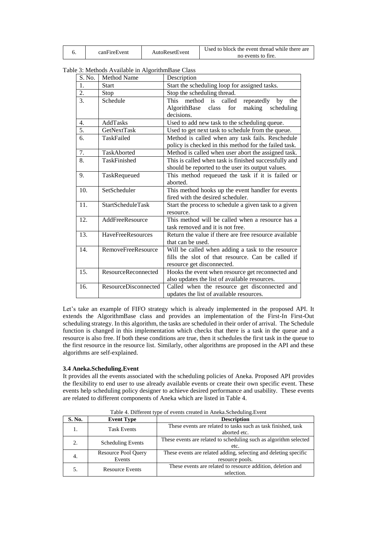|  | canFireEvent | AutoResetEvent | Used to block the event thread while there are |  |
|--|--------------|----------------|------------------------------------------------|--|
|  |              |                | no events to fire.                             |  |

Table 3: Methods Available in AlgorithmBase Class

| S. No. | Method Name                 | Description                                                |  |  |  |  |
|--------|-----------------------------|------------------------------------------------------------|--|--|--|--|
| 1.     | <b>Start</b>                | Start the scheduling loop for assigned tasks.              |  |  |  |  |
| 2.     | Stop                        | Stop the scheduling thread.                                |  |  |  |  |
| 3.     | Schedule                    | <b>This</b><br>method is called<br>repeatedly<br>by<br>the |  |  |  |  |
|        |                             | AlgorithBase<br>for<br>class<br>making<br>scheduling       |  |  |  |  |
|        |                             | decisions.                                                 |  |  |  |  |
| 4.     | AddTasks                    | Used to add new task to the scheduling queue.              |  |  |  |  |
| 5.     | GetNextTask                 | Used to get next task to schedule from the queue.          |  |  |  |  |
| 6.     | TaskFailed                  | Method is called when any task fails. Reschedule           |  |  |  |  |
|        |                             | policy is checked in this method for the failed task.      |  |  |  |  |
| 7.     | TaskAborted                 | Method is called when user abort the assigned task.        |  |  |  |  |
| 8.     | TaskFinished                | This is called when task is finished successfully and      |  |  |  |  |
|        |                             | should be reported to the user its output values.          |  |  |  |  |
| 9.     | TaskRequeued                | This method requeued the task if it is failed or           |  |  |  |  |
|        |                             | aborted.                                                   |  |  |  |  |
| 10.    | SetScheduler                | This method hooks up the event handler for events          |  |  |  |  |
|        |                             | fired with the desired scheduler.                          |  |  |  |  |
| 11.    | <b>StartScheduleTask</b>    | Start the process to schedule a given task to a given      |  |  |  |  |
|        |                             | resource.                                                  |  |  |  |  |
| 12.    | AddFreeResource             | This method will be called when a resource has a           |  |  |  |  |
|        |                             | task removed and it is not free.                           |  |  |  |  |
| 13.    | HaveFreeResources           | Return the value if there are free resource available      |  |  |  |  |
|        |                             | that can be used.                                          |  |  |  |  |
| 14.    | RemoveFreeResource          | Will be called when adding a task to the resource          |  |  |  |  |
|        |                             | fills the slot of that resource. Can be called if          |  |  |  |  |
|        |                             | resource get disconnected.                                 |  |  |  |  |
| 15.    | ResourceReconnected         | Hooks the event when resource get reconnected and          |  |  |  |  |
|        |                             | also updates the list of available resources.              |  |  |  |  |
| 16.    | <b>ResourceDisconnected</b> | Called when the resource get disconnected and              |  |  |  |  |
|        |                             | updates the list of available resources.                   |  |  |  |  |

Let's take an example of FIFO strategy which is already implemented in the proposed API. It extends the AlgorithmBase class and provides an implementation of the First-In First-Out scheduling strategy. In this algorithm, the tasks are scheduled in their order of arrival. The Schedule function is changed in this implementation which checks that there is a task in the queue and a resource is also free. If both these conditions are true, then it schedules the first task in the queue to the first resource in the resource list. Similarly, other algorithms are proposed in the API and these algorithms are self-explained.

### **3.4 Aneka.Scheduling.Event**

It provides all the events associated with the scheduling policies of Aneka. Proposed API provides the flexibility to end user to use already available events or create their own specific event. These events help scheduling policy designer to achieve desired performance and usability. These events are related to different components of Aneka which are listed in Table 4.

| S. No.                  | <b>Event Type</b>             | <b>Description</b>                                                                  |  |  |
|-------------------------|-------------------------------|-------------------------------------------------------------------------------------|--|--|
|                         | <b>Task Events</b>            | These events are related to tasks such as task finished, task<br>aborted etc.       |  |  |
| $\mathfrak{D}_{\alpha}$ | <b>Scheduling Events</b>      | These events are related to scheduling such as algorithm selected<br>etc.           |  |  |
| 4.                      | Resource Pool Query<br>Events | These events are related adding, selecting and deleting specific<br>resource pools. |  |  |
|                         | <b>Resource Events</b>        | These events are related to resource addition, deletion and<br>selection.           |  |  |

Table 4. Different type of events created in Aneka.Scheduling.Event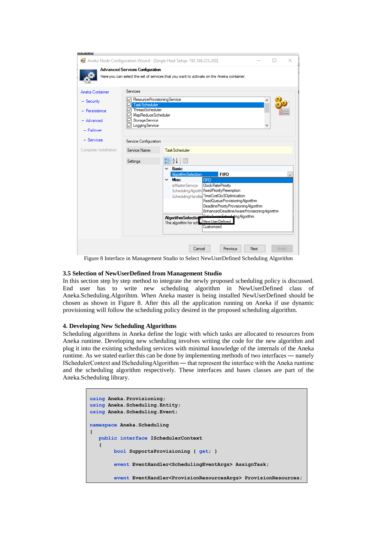| <b>IUCalcu</b>                                                             |                                                                                                                                                                                                                                                                                                                                                                                                                                                                                                                                                                                               |  |  |  |  |  |  |
|----------------------------------------------------------------------------|-----------------------------------------------------------------------------------------------------------------------------------------------------------------------------------------------------------------------------------------------------------------------------------------------------------------------------------------------------------------------------------------------------------------------------------------------------------------------------------------------------------------------------------------------------------------------------------------------|--|--|--|--|--|--|
|                                                                            | Aneka Node Configuration Wizard - [Single Host Setup: 192.168.225.200]<br>×                                                                                                                                                                                                                                                                                                                                                                                                                                                                                                                   |  |  |  |  |  |  |
|                                                                            | <b>Advanced Services Configuration</b><br>Here you can select the set of services that you want to activate on the Aneka container.                                                                                                                                                                                                                                                                                                                                                                                                                                                           |  |  |  |  |  |  |
| Aneka Container<br>$-$ Security<br>- Persistence<br>Advanced<br>- Failover | <b>Services</b><br>○ ResourceProvisioningService<br>Task Scheduler<br>ThreadScheduler<br>MapReduceScheduler<br>Storage Service<br>LoggingService                                                                                                                                                                                                                                                                                                                                                                                                                                              |  |  |  |  |  |  |
| $-$ Services<br>Complete Installation                                      | Service Configuration<br>Service Name:<br>Task Scheduler<br>81 Z J<br>$\boxed{\Xi \Xi}$<br>Settings:<br>$\times$ Basic<br>Algorithm Selection<br><b>FIFO</b><br>$\times$ Misc<br><b>FIFO</b><br><b>IsMasterService</b><br>Clock Rate Priority<br>Scheduling Algorith Fixed Priority Preemption<br>SchedulingHandle TimeCostQoSOptimization<br>FixedQueueProvisioningAlgorithm<br>DeadlinePriorityProvisioningAlgorithm<br>EnhancedDeadlineAwareProvisioningAlgorithm<br>Data Aware Scheduling Algorithm<br><b>Algorithm Selectio</b><br>NewUserDefined<br>The algorithm for sch<br>Customized |  |  |  |  |  |  |
|                                                                            | Cancel<br>Previous<br>Next<br>Finish                                                                                                                                                                                                                                                                                                                                                                                                                                                                                                                                                          |  |  |  |  |  |  |

Figure 8 Interface in Management Studio to Select NewUserDefined Scheduling Algorithm

## **3.5 Selection of NewUserDefined from Management Studio**

In this section step by step method to integrate the newly proposed scheduling policy is discussed. End user has to write new scheduling algorithm in NewUserDefined class of Aneka.Scheduling.Algorihtm. When Aneka master is being installed NewUserDefined should be chosen as shown in Figure 8. After this all the application running on Aneka if use dynamic provisioning will follow the scheduling policy desired in the proposed scheduling algorithm.

### **4. Developing New Scheduling Algorithms**

Scheduling algorithms in Aneka define the logic with which tasks are allocated to resources from Aneka runtime. Developing new scheduling involves writing the code for the new algorithm and plug it into the existing scheduling services with minimal knowledge of the internals of the Aneka runtime. As we stated earlier this can be done by implementing methods of two interfaces ― namely ISchedulerContext and ISchedulingAlgorithm ― that represent the interface with the Aneka runtime and the scheduling algorithm respectively. These interfaces and bases classes are part of the Aneka.Scheduling library.

```
using Aneka.Provisioning;
using Aneka.Scheduling.Entity;
using Aneka.Scheduling.Event;
namespace Aneka.Scheduling
{
   public interface ISchedulerContext 
    { 
         bool SupportsProvisioning { get; }
         event EventHandler<SchedulingEventArgs> AssignTask;
         event EventHandler<ProvisionResourcesArgs> ProvisionResources;
```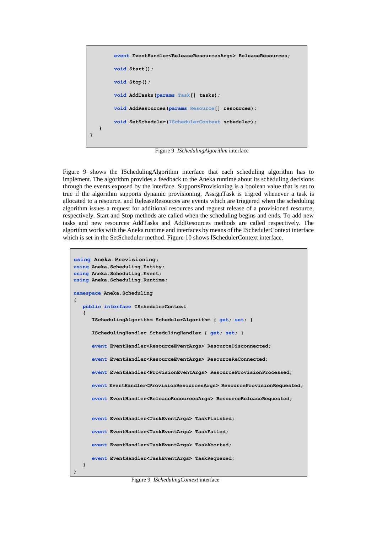```
 event EventHandler<ReleaseResourcesArgs> ReleaseResources;
         void Start();
         void Stop();
         void AddTasks(params Task[] tasks);
         void AddResources(params Resource[] resources);
         void SetScheduler(ISchedulerContext scheduler);
   }
}
```
Figure 9 *ISchedulingAlgorithm* interface

Figure 9 shows the ISchedulingAlgorithm interface that each scheduling algorithm has to implement. The algorithm provides a feedback to the Aneka runtime about its scheduling decisions through the events exposed by the interface. SupportsProvisioning is a boolean value that is set to true if the algorithm supports dynamic provisioning. AssignTask is trigred whenever a task is allocated to a resource. and ReleaseResources are events which are triggered when the scheduling algorithm issues a request for additional resources and reguest release of a provisioned resource, respectively. Start and Stop methods are called when the scheduling begins and ends. To add new tasks and new resources AddTasks and AddResources methods are called respectively. The algorithm works with the Aneka runtime and interfaces by means of the ISchedulerContext interface which is set in the SetScheduler method. Figure 10 shows ISchedulerContext interface.

```
using Aneka.Provisioning;
using Aneka.Scheduling.Entity;
using Aneka.Scheduling.Event;
using Aneka.Scheduling.Runtime;
namespace Aneka.Scheduling
{
    public interface ISchedulerContext 
    {
       ISchedulingAlgorithm SchedulerAlgorithm { get; set; }
       ISchedulingHandler SchedulingHandler { get; set; }
       event EventHandler<ResourceEventArgs> ResourceDisconnected;
       event EventHandler<ResourceEventArgs> ResourceReConnected;
       event EventHandler<ProvisionEventArgs> ResourceProvisionProcessed;
       event EventHandler<ProvisionResourcesArgs> ResourceProvisionRequested;
       event EventHandler<ReleaseResourcesArgs> ResourceReleaseRequested;
       event EventHandler<TaskEventArgs> TaskFinished;
       event EventHandler<TaskEventArgs> TaskFailed;
       event EventHandler<TaskEventArgs> TaskAborted;
       event EventHandler<TaskEventArgs> TaskRequeued;
    }
}
```
Figure 9 *ISchedulingContext* interface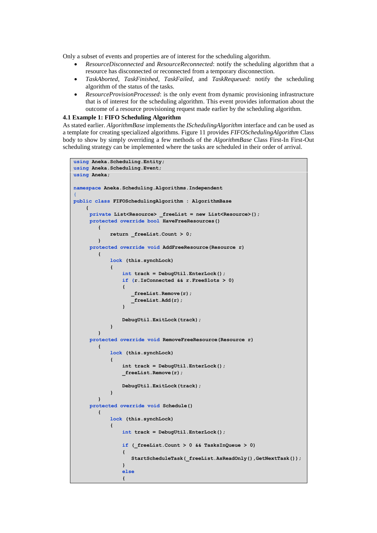Only a subset of events and properties are of interest for the scheduling algorithm.

- *ResourceDisconnected* and *ResourceReconnected*: notify the scheduling algorithm that a resource has disconnected or reconnected from a temporary disconnection.
- *TaskAborted*, *TaskFinished*, *TaskFailed*, and *TaskRequeued*: notify the scheduling algorithm of the status of the tasks.
- *ResourceProvisionProcessed*: is the only event from dynamic provisioning infrastructure that is of interest for the scheduling algorithm. This event provides information about the outcome of a resource provisioning request made earlier by the scheduling algorithm.

#### **4.1 Example 1: FIFO Scheduling Algorithm**

As stated earlier. *AlgorithmBase* implements the *ISchedulingAlgorithm* interface and can be used as a template for creating specialized algorithms. Figure 11 provides *FIFOSchedulingAlgorithm* Class body to show by simply overriding a few methods of the *AlgorithmBase* Class First-In First-Out scheduling strategy can be implemented where the tasks are scheduled in their order of arrival.

```
using Aneka.Scheduling.Entity;
using Aneka.Scheduling.Event;
using Aneka;
namespace Aneka.Scheduling.Algorithms.Independent
{ 
public class FIFOSchedulingAlgorithm : AlgorithmBase
     {
     private List<Resource> _freeList = new List<Resource>();
     protected override bool HaveFreeResources()
 {
             return _freeList.Count > 0;
         }
     protected override void AddFreeResource(Resource r)
         {
             lock (this.synchLock)
<b><i>{ \sim }
                 int track = DebugUtil.EnterLock();
                 if (r.IsConnected && r.FreeSlots > 0)
<b><i>{ \sim } \sim } \sim } }
                    _freeList.Remove(r);
                   _freeList.Add(r);
 }
                 DebugUtil.ExitLock(track);
 }
 }
     protected override void RemoveFreeResource(Resource r)
         {
             lock (this.synchLock)
<b><i>{ \sim }
                 int track = DebugUtil.EnterLock();
                 _freeList.Remove(r);
                 DebugUtil.ExitLock(track);
 }
 }
     protected override void Schedule()
 {
             lock (this.synchLock)
<b><i>{ \sim }
                 int track = DebugUtil.EnterLock();
                 if (_freeList.Count > 0 && TasksInQueue > 0)
<b><i>{ \sim } \sim } \sim } }
                    StartScheduleTask(_freeList.AsReadOnly(),GetNextTask());
 }
                 else
<b><i>{ \sim } \sim } \sim } \sim }
```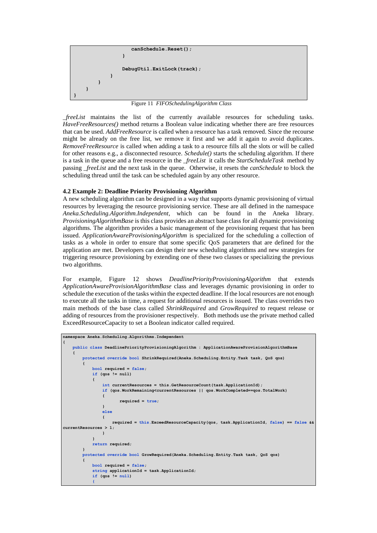

Figure 11 *FIFOSchedulingAlgorithm Class*

*\_freeList* maintains the list of the currently available resources for scheduling tasks. *HaveFreeResources()* method returns a Boolean value indicating whether there are free resources that can be used. *AddFreeResource* is called when a resource has a task removed. Since the recourse might be already on the free list, we remove it first and we add it again to avoid duplicates. *RemoveFreeResource* is called when adding a task to a resource fills all the slots or will be called for other reasons e.g., a disconnected resource. *Schedule()* starts the scheduling algorithm. If there is a task in the queue and a free resource in the *\_freeList* it calls the *StartScheduleTask* method by passing *\_freeList* and the next task in the queue. Otherwise, it resets the *canSchedule* to block the scheduling thread until the task can be scheduled again by any other resource.

# **4.2 Example 2: Deadline Priority Provisioning Algorithm**

A new scheduling algorithm can be designed in a way that supports dynamic provisioning of virtual resources by leveraging the resource provisioning service. These are all defined in the namespace *Aneka.Scheduling.Algorithm.Independent*, which can be found in the Aneka library. *ProvisioningAlgorithmBase* is this class provides an abstract base class for all dynamic provisioning algorithms. The algorithm provides a basic management of the provisioning request that has been issued. *ApplicationAwareProvisioningAlgorithm* is specialized for the scheduling a collection of tasks as a whole in order to ensure that some specific QoS parameters that are defined for the application are met. Developers can design their new scheduling algorithms and new strategies for triggering resource provisioning by extending one of these two classes or specializing the previous two algorithms.

For example, Figure 12 shows *DeadlinePriorityProvisioningAlgorithm* that extends *ApplicationAwareProvisionAlgorithmBase* class and leverages dynamic provisioning in order to schedule the execution of the tasks within the expected deadline. If the local resources are not enough to execute all the tasks in time, a request for additional resources is issued. The class overrides two main methods of the base class called *ShrinkRequired* and *GrowRequired* to request release or adding of resources from the provisioner respectively. Both methods use the private method called ExceedResourceCapacity to set a Boolean indicator called required.

```
namespace Aneka.Scheduling.Algorithms.Independent
{
       public class DeadlinePriorityProvisioningAlgorithm : ApplicationAwareProvisionAlgorithmBase
 {
              protected override bool ShrinkRequired(Aneka.Scheduling.Entity.Task task, QoS qos)
 {
                    bool required = false;
                    if (qos != null)
<b><i>{ \sim }
                           int currentResources = this.GetResourceCount(task.ApplicationId);
                           if (qos.WorkRemaining<currentResources || qos.WorkCompleted==qos.TotalWork)
<b><i>{ \left\{ \left( \left( \begin{array}{cc} 0 & 0 & 0 \\ 0 & 0 & 0 \\ 0 & 0 & 0 \\ 0 & 0 & 0 \\ 0 & 0 & 0 \\ 0 & 0 & 0 \\ 0 & 0 & 0 \\ 0 & 0 & 0 \\ 0 & 0 & 0 \\ 0 & 0 & 0 \\ 0 & 0 & 0 & 0 \\ 0 & 0 & 0 & 0 \\ 0 & 0 & 0 & 0 \\ 0 & 0 & 0 & 0 & 0 \\ 0 & 0 & 0 & 0 & 0 \\ 0 & 0 & 0 & 0 & 0 \\ 0 & 0 & 0 & 0 & 0 & 0 \\ 0 & 0 & required = true;
 }
                            else
<b><i>{ \left\{ \left( \left( \begin{array}{cc} 0 & 0 & 0 \\ 0 & 0 & 0 \\ 0 & 0 & 0 \\ 0 & 0 & 0 \\ 0 & 0 & 0 \\ 0 & 0 & 0 \\ 0 & 0 & 0 \\ 0 & 0 & 0 \\ 0 & 0 & 0 \\ 0 & 0 & 0 \\ 0 & 0 & 0 & 0 \\ 0 & 0 & 0 & 0 \\ 0 & 0 & 0 & 0 \\ 0 & 0 & 0 & 0 & 0 \\ 0 & 0 & 0 & 0 & 0 \\ 0 & 0 & 0 & 0 & 0 \\ 0 & 0 & 0 & 0 & 0 & 0 \\ 0 & 0 & required = this.ExceedResourceCapacity(qos, task.ApplicationId, false) == false && 
currentResources > 1;
 }
 }
                     return required;
              }
              protected override bool GrowRequired(Aneka.Scheduling.Entity.Task task, QoS qos)
 {
                     bool required = false;
                     string applicationId = task.ApplicationId;
                     if (qos != null)
 {
```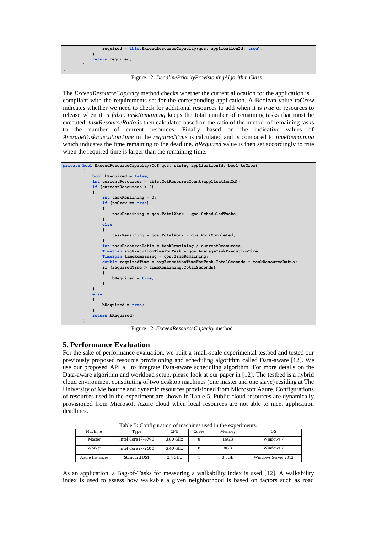

Figure 12 *DeadlinePriorityProvisioningAlgorithm Class*

The *ExceedResourceCapacity* method checks whether the current allocation for the application is compliant with the requirements set for the corresponding application. A Boolean value *toGrow* indicates whether we need to check for additional resources to add when it is *true* or resources to release when it is *false*. *taskRemaining* keeps the total number of remaining tasks that must be executed. *taskResourceRatio* is then calculated based on the ratio of the number of remaining tasks to the number of current resources. Finally based on the indicative values of *AverageTaskExecutionTime* in the *requiredTime* is calculated and is compared to *timeRemaining* which indicates the time remaining to the deadline. *bRequired* value is then set accordingly to true when the required time is larger than the remaining time.



Figure 12 *ExceedResourceCapacity* method

# **5. Performance Evaluation**

For the sake of performance evaluation, we built a small-scale experimental testbed and tested our previously proposed resource provisioning and scheduling algorithm called Data-aware [12]. We use our proposed API all to integrate Data-aware scheduling algorithm. For more details on the Data-aware algorithm and workload setup, please look at our paper in [12]. The testbed is a hybrid cloud environment constituting of two desktop machines (one master and one slave) residing at The University of Melbourne and dynamic resources provisioned from Microsoft Azure. Configurations of resources used in the experiment are shown in Table 5. Public cloud resources are dynamically provisioned from Microsoft Azure cloud when local resources are not able to meet application deadlines.

| Table 9. Configuration of machines used in the experiments. |                    |            |       |                 |                     |
|-------------------------------------------------------------|--------------------|------------|-------|-----------------|---------------------|
| Machine                                                     | Type               | <b>CPU</b> | Cores | Memory          | os                  |
| Master                                                      | Intel Core i7-4790 | 3.60 GHz   |       | 16GB            | Windows 7           |
| Worker                                                      | Intel Core i7-2600 | 3.40 GHz   |       | 8 <sub>GB</sub> | Windows 7           |
| <b>Azure Instances</b>                                      | Standard DS1       | $2.4$ GHz  |       | 3.5GB           | Windows Server 2012 |

Table 5: Configuration of machines used in the experiments.

As an application, a Bag-of-Tasks for measuring a walkability index is used [12]. A walkability index is used to assess how walkable a given neighborhood is based on factors such as road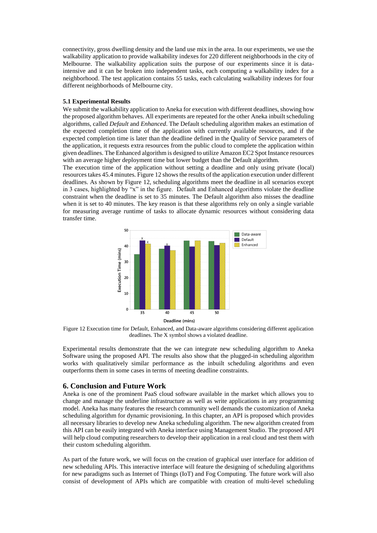connectivity, gross dwelling density and the land use mix in the area. In our experiments, we use the walkability application to provide walkability indexes for 220 different neighborhoods in the city of Melbourne. The walkability application suits the purpose of our experiments since it is dataintensive and it can be broken into independent tasks, each computing a walkability index for a neighborhood. The test application contains 55 tasks, each calculating walkability indexes for four different neighborhoods of Melbourne city.

#### **5.1 Experimental Results**

We submit the walkability application to Aneka for execution with different deadlines, showing how the proposed algorithm behaves. All experiments are repeated for the other Aneka inbuilt scheduling algorithms, called *Default* and *Enhanced*. The Default scheduling algorithm makes an estimation of the expected completion time of the application with currently available resources, and if the expected completion time is later than the deadline defined in the Quality of Service parameters of the application, it requests extra resources from the public cloud to complete the application within given deadlines. The Enhanced algorithm is designed to utilize Amazon EC2 Spot Instance resources with an average higher deployment time but lower budget than the Default algorithm.

The execution time of the application without setting a deadline and only using private (local) resources takes 45.4 minutes. Figure 12 showsthe results of the application execution under different deadlines. As shown by Figure 12, scheduling algorithms meet the deadline in all scenarios except in 3 cases, highlighted by "x" in the figure. Default and Enhanced algorithms violate the deadline constraint when the deadline is set to 35 minutes. The Default algorithm also misses the deadline when it is set to 40 minutes. The key reason is that these algorithms rely on only a single variable for measuring average runtime of tasks to allocate dynamic resources without considering data transfer time.

![](_page_12_Figure_4.jpeg)

Figure 12 Execution time for Default, Enhanced, and Data-aware algorithms considering different application deadlines. The X symbol shows a violated deadline.

Experimental results demonstrate that the we can integrate new scheduling algorithm to Aneka Software using the proposed API. The results also show that the plugged-in scheduling algorithm works with qualitatively similar performance as the inbuilt scheduling algorithms and even outperforms them in some cases in terms of meeting deadline constraints.

## **6. Conclusion and Future Work**

Aneka is one of the prominent PaaS cloud software available in the market which allows you to change and manage the underline infrastructure as well as write applications in any programming model. Aneka has many features the research community well demands the customization of Aneka scheduling algorithm for dynamic provisioning. In this chapter, an API is proposed which provides all necessary libraries to develop new Aneka scheduling algorithm. The new algorithm created from this API can be easily integrated with Aneka interface using Management Studio. The proposed API will help cloud computing researchers to develop their application in a real cloud and test them with their custom scheduling algorithm.

As part of the future work, we will focus on the creation of graphical user interface for addition of new scheduling APIs. This interactive interface will feature the designing of scheduling algorithms for new paradigms such as Internet of Things (IoT) and Fog Computing. The future work will also consist of development of APIs which are compatible with creation of multi-level scheduling